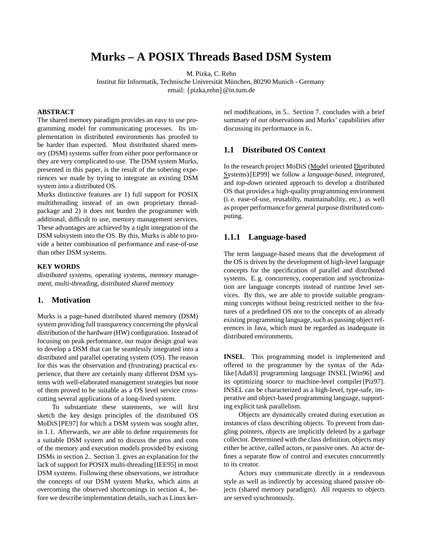# **Murks – A POSIX Threads Based DSM System**

M. Pizka, C. Rehn

Institut für Informatik, Technische Universität München, 80290 Munich - Germany email: {pizka,rehn}@in.tum.de

### **ABSTRACT**

The shared memory paradigm provides an easy to use programming model for communicating processes. Its implementation in distributed environments has proofed to be harder than expected. Most distributed shared memory (DSM) systems suffer from either poor performance or they are very complicated to use. The DSM system Murks, presented in this paper, is the result of the sobering experiences we made by trying to integrate an existing DSM system into a distributed OS.

Murks distinctive features are 1) full support for POSIX multithreading instead of an own proprietary threadpackage and 2) it does not burden the programmer with additional, difficult to use, memory management services. These advantages are achieved by a tight integration of the DSM subsystem into the OS. By this, Murks is able to provide a better combination of performance and ease-of-use than other DSM systems.

#### **KEY WORDS**

distributed systems, operating systems, memory management, multi-threading, distributed shared memory

# **1. Motivation**

Murks is a page-based distributed shared memory (DSM) system providing full transparency concerning the physical distribution of the hardware (HW) configuration. Instead of focusing on peak performance, our major design goal was to develop a DSM that can be seamlessly integrated into a distributed and parallel operating system (OS). The reason for this was the observation and (frustrating) practical experience, that there are certainly many different DSM systems with well-elaborated management strategies but none of them proved to be suitable as a OS level service crosscutting several applications of a long-lived system.

To substantiate these statements, we will first sketch the key design principles of the distributed OS MoDiS [PE97] for which a DSM system was sought after, in 1.1. Afterwards, we are able to define requirements for a suitable DSM system and to discuss the pros and cons of the memory and execution models provided by existing DSMs in section 2.. Section 3. gives an explanation for the lack of support for POSIX multi-threading [IEE95] in most DSM systems. Following these observations, we introduce the concepts of our DSM system Murks, which aims at overcoming the observed shortcomings in section 4., before we describe implementation details, such as Linux kernel modifications, in 5.. Section 7. concludes with a brief summary of our observations and Murks' capabilities after discussing its performance in 6..

### **1.1 Distributed OS Context**

In the research project MoDiS (Model oriented Distributed Systems) [EP99] we follow a *language-based, integrated*, and *top-down* oriented approach to develop a distributed OS that provides a high-quality programming environment (i. e. ease-of-use, reusabilty, maintainability, etc.) as well as proper performance for general purpose distributed computing.

#### **1.1.1 Language-based**

The term language-based means that the development of the OS is driven by the development of high-level language concepts for the specification of parallel and distributed systems. E. g. concurrency, cooperation and synchronization are language concepts instead of runtime level services. By this, we are able to provide suitable programming concepts without being restricted neither to the features of a predefined OS nor to the concepts of an already existing programming language, such as passing object references in Java, which must be regarded as inadequate in distributed environments.

**INSEL** This programming model is implemented and offered to the programmer by the syntax of the Adalike [Ada83] programming language INSEL [Win96] and its optimizing source to machine-level compiler [Piz97]. INSEL can be characterized as a high-level, type-safe, imperative and object-based programming language, supporting explicit task parallelism.

Objects are dynamically created during execution as instances of class describing objects. To prevent from dangling pointers, objects are implicitly deleted by a garbage collector. Determined with the class definition, objects may either be active, called actors, or passive ones. An actor defines a separate flow of control and executes concurrently to its creator.

Actors may communicate directly in a rendezvous style as well as indirectly by accessing shared passive objects (shared memory paradigm). All requests to objects are served synchronously.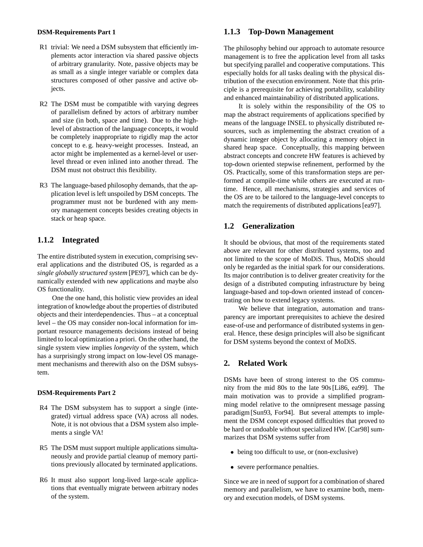#### **DSM-Requirements Part 1**

- R1 trivial: We need a DSM subsystem that efficiently implements actor interaction via shared passive objects of arbitrary granularity. Note, passive objects may be as small as a single integer variable or complex data structures composed of other passive and active objects.
- R2 The DSM must be compatible with varying degrees of parallelism defined by actors of arbitrary number and size (in both, space and time). Due to the highlevel of abstraction of the language concepts, it would be completely inappropriate to rigidly map the actor concept to e. g. heavy-weight processes. Instead, an actor might be implemented as a kernel-level or userlevel thread or even inlined into another thread. The DSM must not obstruct this flexibility.
- R3 The language-based philosophy demands, that the application level is left unspoiled by DSM concepts. The programmer must not be burdened with any memory management concepts besides creating objects in stack or heap space.

# **1.1.2 Integrated**

The entire distributed system in execution, comprising several applications and the distributed OS, is regarded as a *single globally structured system* [PE97], which can be dynamically extended with new applications and maybe also OS functionality.

One the one hand, this holistic view provides an ideal integration of knowledge about the properties of distributed objects and their interdependencies. Thus – at a conceptual level – the OS may consider non-local information for important resource managements decisions instead of being limited to local optimization a priori. On the other hand, the single system view implies *longevity* of the system, which has a surprisingly strong impact on low-level OS management mechanisms and therewith also on the DSM subsystem.

#### **DSM-Requirements Part 2**

- R4 The DSM subsystem has to support a single (integrated) virtual address space (VA) across all nodes. Note, it is not obvious that a DSM system also implements a single VA!
- R5 The DSM must support multiple applications simultaneously and provide partial cleanup of memory partitions previously allocated by terminated applications.
- R6 It must also support long-lived large-scale applications that eventually migrate between arbitrary nodes of the system.

# **1.1.3 Top-Down Management**

The philosophy behind our approach to automate resource management is to free the application level from all tasks but specifying parallel and cooperative computations. This especially holds for all tasks dealing with the physical distribution of the execution environment. Note that this principle is a prerequisite for achieving portability, scalability and enhanced maintainability of distributed applications.

It is solely within the responsibility of the OS to map the abstract requirements of applications specified by means of the language INSEL to physically distributed resources, such as implementing the abstract creation of a dynamic integer object by allocating a memory object in shared heap space. Conceptually, this mapping between abstract concepts and concrete HW features is achieved by top-down oriented stepwise refinement, performed by the OS. Practically, some of this transformation steps are performed at compile-time while others are executed at runtime. Hence, all mechanisms, strategies and services of the OS are to be tailored to the language-level concepts to match the requirements of distributed applications [ea97].

# **1.2 Generalization**

It should be obvious, that most of the requirements stated above are relevant for other distributed systems, too and not limited to the scope of MoDiS. Thus, MoDiS should only be regarded as the initial spark for our considerations. Its major contribution is to deliver greater creativity for the design of a distributed computing infrastructure by being language-based and top-down oriented instead of concentrating on how to extend legacy systems.

We believe that integration, automation and transparency are important prerequisites to achieve the desired ease-of-use and performance of distributed systems in general. Hence, these design principles will also be significant for DSM systems beyond the context of MoDiS.

# **2. Related Work**

DSMs have been of strong interest to the OS community from the mid 80s to the late 90s [Li86, ea99]. The main motivation was to provide a simplified programming model relative to the omnipresent message passing paradigm [Sun93, For94]. But several attempts to implement the DSM concept exposed difficulties that proved to be hard or undoable without specialized HW. [Car98] summarizes that DSM systems suffer from

- being too difficult to use, or (non-exclusive)
- severe performance penalties.

Since we are in need of support for a combination of shared memory and parallelism, we have to examine both, memory and execution models, of DSM systems.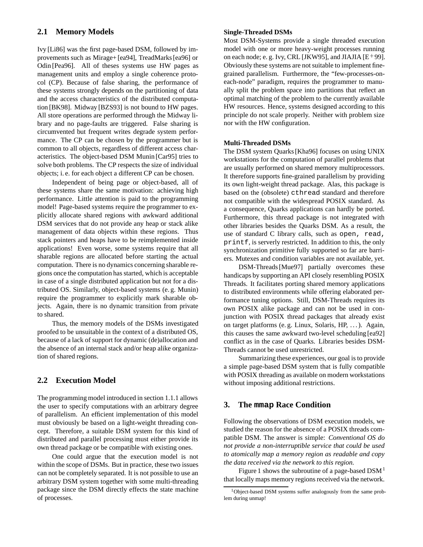### **2.1 Memory Models**

Ivy [Li86] was the first page-based DSM, followed by improvements such as Mirage+ [ea94], TreadMarks [ea96] or Odin [Pea96]. All of theses systems use HW pages as management units and employ a single coherence protocol (CP). Because of false sharing, the performance of these systems strongly depends on the partitioning of data and the access characteristics of the distributed computation [BK98]. Midway [BZS93] is not bound to HW pages. All store operations are performed through the Midway library and no page-faults are triggered. False sharing is circumvented but frequent writes degrade system performance. The CP can be chosen by the programmer but is common to all objects, regardless of different access characteristics. The object-based DSM Munin [Car95] tries to solve both problems. The CP respects the size of individual objects; i. e. for each object a different CP can be chosen.

Independent of being page or object-based, all of these systems share the same motivation: achieving high performance. Little attention is paid to the programming model! Page-based systems require the programmer to explicitly allocate shared regions with awkward additional DSM services that do not provide any heap or stack alike management of data objects within these regions. Thus stack pointers and heaps have to be reimplemented inside applications! Even worse, some systems require that all sharable regions are allocated before starting the actual computation. There is no dynamics concerning sharable regions once the computation has started, which is acceptable in case of a single distributed application but not for a distributed OS. Similarly, object-based systems (e. g. Munin) require the programmer to explicitly mark sharable objects. Again, there is no dynamic transition from private to shared.

Thus, the memory models of the DSMs investigated proofed to be unsuitable in the context of a distributed OS, because of a lack of support for dynamic (de)allocation and the absence of an internal stack and/or heap alike organization of shared regions.

# **2.2 Execution Model**

The programming model introduced in section 1.1.1 allows the user to specify computations with an arbitrary degree of parallelism. An efficient implementation of this model must obviously be based on a light-weight threading concept. Therefore, a suitable DSM system for this kind of distributed and parallel processing must either provide its own thread package or be compatible with existing ones.

One could argue that the execution model is not within the scope of DSMs. But in practice, these two issues can not be completely separated. It is not possible to use an arbitrary DSM system together with some multi-threading package since the DSM directly effects the state machine of processes.

#### **Single-Threaded DSMs**

Most DSM-Systems provide a single threaded execution model with one or more heavy-weight processes running on each node; e. g. Ivy, CRL [JKW95], and JIAJIA [E $^+$ 99]. Obviously these systems are not suitable to implement finegrained parallelism. Furthermore, the "few-processes-oneach-node" paradigm, requires the programmer to manually split the problem space into partitions that reflect an optimal matching of the problem to the currently available HW resources. Hence, systems designed according to this principle do not scale properly. Neither with problem size nor with the HW configuration.

#### **Multi-Threaded DSMs**

The DSM system Quarks [Kha96] focuses on using UNIX workstations for the computation of parallel problems that are usually performed on shared memory multiprocessors. It therefore supports fine-grained parallelism by providing its own light-weight thread package. Alas, this package is based on the (obsolete) cthread standard and therefore not compatible with the widespread POSIX standard. As a consequence, Quarks applications can hardly be ported. Furthermore, this thread package is not integrated with other libraries besides the Quarks DSM. As a result, the use of standard C library calls, such as open, read, printf, is serverly restricted. In addition to this, the only synchronization primitive fully supported so far are barriers. Mutexes and condition variables are not available, yet.

DSM-Threads [Mue97] partially overcomes these handicaps by supporting an API closely resembling POSIX Threads. It facilitates porting shared memory applications to distributed environments while offering elaborated performance tuning options. Still, DSM-Threads requires its own POSIX alike package and can not be used in conjunction with POSIX thread packages that already exist on target platforms (e. g. Linux, Solaris, HP, . . . ). Again, this causes the same awkward two-level scheduling [ea92] conflict as in the case of Quarks. Libraries besides DSM-Threads cannot be used unrestricted.

Summarizing these experiences, our goal is to provide a simple page-based DSM system that is fully compatible with POSIX threading as available on modern workstations without imposing additional restrictions.

#### **3. The mmap Race Condition**

Following the observations of DSM execution models, we studied the reason for the absence of a POSIX threads compatible DSM. The answer is simple: *Conventional OS do not provide a non-interruptible service that could be used to atomically map a memory region as readable and copy the data received via the network to this region.*

Figure 1 shows the subroutine of a page-based  $DSM<sup>1</sup>$ that locally maps memory regions received via the network.

<sup>1</sup>Object-based DSM systems suffer analogously from the same problem during unmap!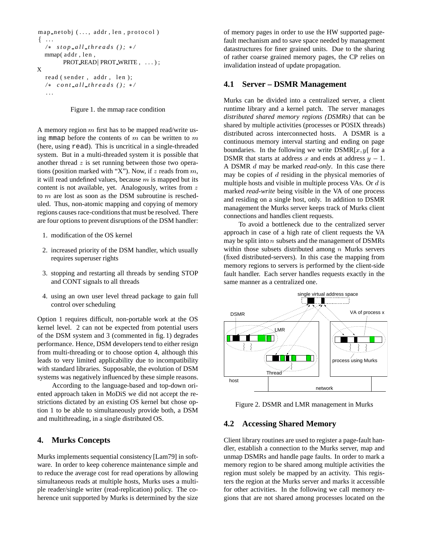```
map_netobj (..., addr, len, protocol)
 ...
  /  stop all threads ();  /
  mmap( addr , len ,
        PROT READ | PROT WRITE, ...);
X
  read ( sender, addr, len );
  /  cont all threads ();  /
   ...
```


A memory region  $m$  first has to be mapped read/write using mmap before the contents of  $m$  can be written to  $m$ (here, using read). This is uncritical in a single-threaded system. But in a multi-threaded system it is possible that another thread  $z$  is set running between those two operations (position marked with "X"). Now, if  $z$  reads from  $m$ , it will read undefined values, because  $m$  is mapped but its content is not available, yet. Analogously, writes from z to  $m$  are lost as soon as the DSM subroutine is rescheduled. Thus, non-atomic mapping and copying of memory regions causes race-conditions that must be resolved. There are four options to prevent disruptions of the DSM handler:

- 1. modification of the OS kernel
- 2. increased priority of the DSM handler, which usually requires superuser rights
- 3. stopping and restarting all threads by sending STOP and CONT signals to all threads
- 4. using an own user level thread package to gain full control over scheduling

Option 1 requires difficult, non-portable work at the OS kernel level. 2 can not be expected from potential users of the DSM system and 3 (commented in fig. 1) degrades performance. Hence, DSM developers tend to either resign from multi-threading or to choose option 4, although this leads to very limited applicability due to incompatibility with standard libraries. Supposable, the evolution of DSM systems was negatively influenced by these simple reasons.

According to the language-based and top-down oriented approach taken in MoDiS we did not accept the restrictions dictated by an existing OS kernel but chose option 1 to be able to simultaneously provide both, a DSM and multithreading, in a single distributed OS.

#### **4. Murks Concepts**

Murks implements sequential consistency [Lam79] in software. In order to keep coherence maintenance simple and to reduce the average cost for read operations by allowing simultaneous reads at multiple hosts, Murks uses a multiple reader/single writer (read-replication) policy. The coherence unit supported by Murks is determined by the size

of memory pages in order to use the HW supported pagefault mechanism and to save space needed by management datastructures for finer grained units. Due to the sharing of rather coarse grained memory pages, the CP relies on invalidation instead of update propagation.

#### **4.1 Server – DSMR Management**

Murks can be divided into a centralized server, a client runtime library and a kernel patch. The server manages *distributed shared memory regions (DSMRs)* that can be shared by multiple activities (processes or POSIX threads) distributed across interconnected hosts. A DSMR is a continuous memory interval starting and ending on page boundaries. In the following we write  $DSMR[x, y]$  for a DSMR that starts at address x and ends at address  $y - 1$ . A DSMR d may be marked *read-only*. In this case there may be copies of  $d$  residing in the physical memories of multiple hosts and visible in multiple process VAs. Or  $d$  is marked *read-write* being visible in the VA of one process and residing on a single host, only. In addition to DSMR management the Murks server keeps track of Murks client connections and handles client requests.

To avoid a bottleneck due to the centralized server approach in case of a high rate of client requests the VA may be split into  $n$  subsets and the management of DSMRs within those subsets distributed among  $n$  Murks servers (fixed distributed-servers). In this case the mapping from memory regions to servers is performed by the client-side fault handler. Each server handles requests exactly in the same manner as a centralized one.



Figure 2. DSMR and LMR management in Murks

#### **4.2 Accessing Shared Memory**

Client library routines are used to register a page-fault handler, establish a connection to the Murks server, map and unmap DSMRs and handle page faults. In order to mark a memory region to be shared among multiple activities the region must solely be mapped by an activity. This registers the region at the Murks server and marks it accessible for other activities. In the following we call memory regions that are not shared among processes located on the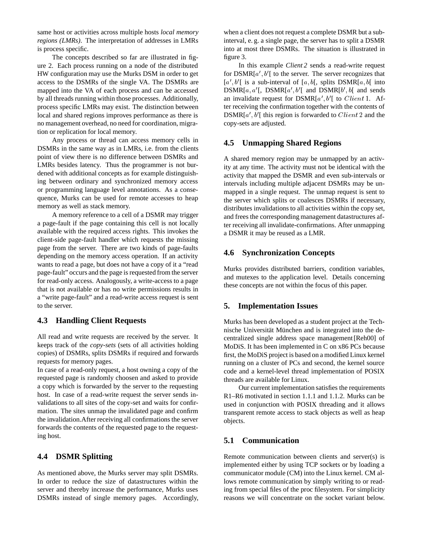same host or activities across multiple hosts *local memory regions (LMRs)*. The interpretation of addresses in LMRs is process specific.

The concepts described so far are illustrated in figure 2. Each process running on a node of the distributed HW configuration may use the Murks DSM in order to get access to the DSMRs of the single VA. The DSMRs are mapped into the VA of each process and can be accessed by all threads running within those processes. Additionally, process specific LMRs may exist. The distinction between local and shared regions improves performance as there is no management overhead, no need for coordination, migration or replication for local memory.

Any process or thread can access memory cells in DSMRs in the same way as in LMRs, i.e. from the clients point of view there is no difference between DSMRs and LMRs besides latency. Thus the programmer is not burdened with additional concepts as for example distinguishing between ordinary and synchronized memory access or programming language level annotations. As a consequence, Murks can be used for remote accesses to heap memory as well as stack memory.

A memory reference to a cell of a DSMR may trigger a page-fault if the page containing this cell is not locally available with the required access rights. This invokes the client-side page-fault handler which requests the missing page from the server. There are two kinds of page-faults depending on the memory access operation. If an activity wants to read a page, but does not have a copy of it a "read page-fault" occurs and the page is requested from the server for read-only access. Analogously, a write-access to a page that is not available or has no write permissions results in a "write page-fault" and a read-write access request is sent to the server.

#### **4.3 Handling Client Requests**

All read and write requests are received by the server. It keeps track of the *copy-sets* (sets of all activities holding copies) of DSMRs, splits DSMRs if required and forwards requests for memory pages.

In case of a read-only request, a host owning a copy of the requested page is randomly choosen and asked to provide a copy which is forwarded by the server to the requesting host. In case of a read-write request the server sends invalidations to all sites of the copy-set and waits for confirmation. The sites unmap the invalidated page and confirm the invalidation.After receiving all confirmations the server forwards the contents of the requested page to the requesting host.

# **4.4 DSMR Splitting**

As mentioned above, the Murks server may split DSMRs. In order to reduce the size of datastructures within the server and thereby increase the performance, Murks uses DSMRs instead of single memory pages. Accordingly,

when a client does not request a complete DSMR but a subinterval, e. g. a single page, the server has to split a DSMR into at most three DSMRs. The situation is illustrated in figure 3.

In this example *Client 2* sends a read-write request for  $DSMR[a', b']$  to the server. The server recognizes that  $[a', b']$  is a sub-interval of  $[a, b]$ , splits DSMR $[a, b]$  into  $DSMR[a, a']$ ,  $DSMR[a', b']$  and  $DSMR[b', b]$  and sends an invalidate request for  $DSMR[a', b']$  to  $Client1$ . After receiving the confirmation together with the contents of  $DSMR[a', b']$  this region is forwarded to  $Client2$  and the copy-sets are adjusted.

# **4.5 Unmapping Shared Regions**

A shared memory region may be unmapped by an activity at any time. The activity must not be identical with the activity that mapped the DSMR and even sub-intervals or intervals including multiple adjacent DSMRs may be unmapped in a single request. The unmap request is sent to the server which splits or coalesces DSMRs if necessary, distributes invalidations to all activities within the copy set, and frees the corresponding management datastructures after receiving all invalidate-confirmations. After unmapping a DSMR it may be reused as a LMR.

## **4.6 Synchronization Concepts**

Murks provides distributed barriers, condition variables, and mutexes to the application level. Details concerning these concepts are not within the focus of this paper.

# **5. Implementation Issues**

Murks has been developed as a student project at the Technische Universität München and is integrated into the decentralized single address space management [Reh00] of MoDiS. It has been implemented in C on x86 PCs because first, the MoDiS project is based on a modified Linux kernel running on a cluster of PCs and second, the kernel source code and a kernel-level thread implementation of POSIX threads are available for Linux.

Our current implementation satisfies the requirements R1–R6 motivated in section 1.1.1 and 1.1.2. Murks can be used in conjunction with POSIX threading and it allows transparent remote access to stack objects as well as heap objects.

# **5.1 Communication**

Remote communication between clients and server(s) is implemented either by using TCP sockets or by loading a communicator module (CM) into the Linux kernel. CM allows remote communication by simply writing to or reading from special files of the proc filesystem. For simplicity reasons we will concentrate on the socket variant below.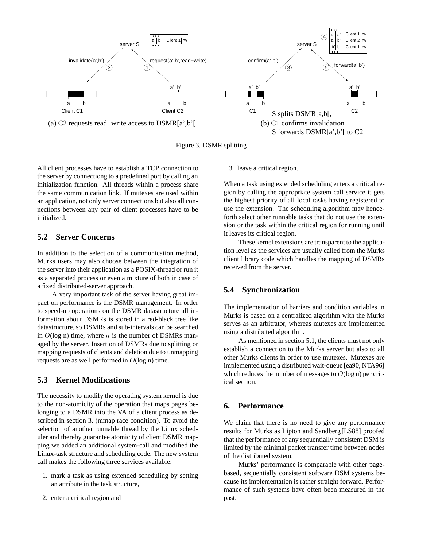

Figure 3. DSMR splitting

All client processes have to establish a TCP connection to the server by connectiong to a predefined port by calling an initialization function. All threads within a process share the same communication link. If mutexes are used within an application, not only server connections but also all connections between any pair of client processes have to be initialized.

## **5.2 Server Concerns**

In addition to the selection of a communication method, Murks users may also choose between the integration of the server into their application as a POSIX-thread or run it as a separated process or even a mixture of both in case of a fixed distributed-server approach.

A very important task of the server having great impact on performance is the DSMR management. In order to speed-up operations on the DSMR datastructure all information about DSMRs is stored in a red-black tree like datastructure, so DSMRs and sub-intervals can be searched in  $O(\log n)$  time, where *n* is the number of DSMRs managed by the server. Insertion of DSMRs due to splitting or mapping requests of clients and deletion due to unmapping requests are as well performed in  $O(\log n)$  time.

# **5.3 Kernel Modifications**

The necessity to modify the operating system kernel is due to the non-atomicity of the operation that maps pages belonging to a DSMR into the VA of a client process as described in section 3. (mmap race condition). To avoid the selection of another runnable thread by the Linux scheduler and thereby guarantee atomicity of client DSMR mapping we added an additional system-call and modified the Linux-task structure and scheduling code. The new system call makes the following three services available:

- 1. mark a task as using extended scheduling by setting an attribute in the task structure,
- 2. enter a critical region and

#### 3. leave a critical region.

When a task using extended scheduling enters a critical region by calling the appropriate system call service it gets the highest priority of all local tasks having registered to use the extension. The scheduling algorithm may henceforth select other runnable tasks that do not use the extension or the task within the critical region for running until it leaves its critical region.

These kernel extensions are transparent to the application level as the services are usually called from the Murks client library code which handles the mapping of DSMRs received from the server.

### **5.4 Synchronization**

The implementation of barriers and condition variables in Murks is based on a centralized algorithm with the Murks serves as an arbitrator, whereas mutexes are implemented using a distributed algorithm.

As mentioned in section 5.1, the clients must not only establish a connection to the Murks server but also to all other Murks clients in order to use mutexes. Mutexes are implemented using a distributed wait-queue [ea90, NTA96] which reduces the number of messages to  $O(\log n)$  per critical section.

# **6. Performance**

We claim that there is no need to give any performance results for Murks as Lipton and Sandberg[LS88] proofed that the performance of any sequentially consistent DSM is limited by the minimal packet transfer time between nodes of the distributed system.

Murks' performance is comparable with other pagebased, sequentially consistent software DSM systems because its implementation is rather straight forward. Performance of such systems have often been measured in the past.